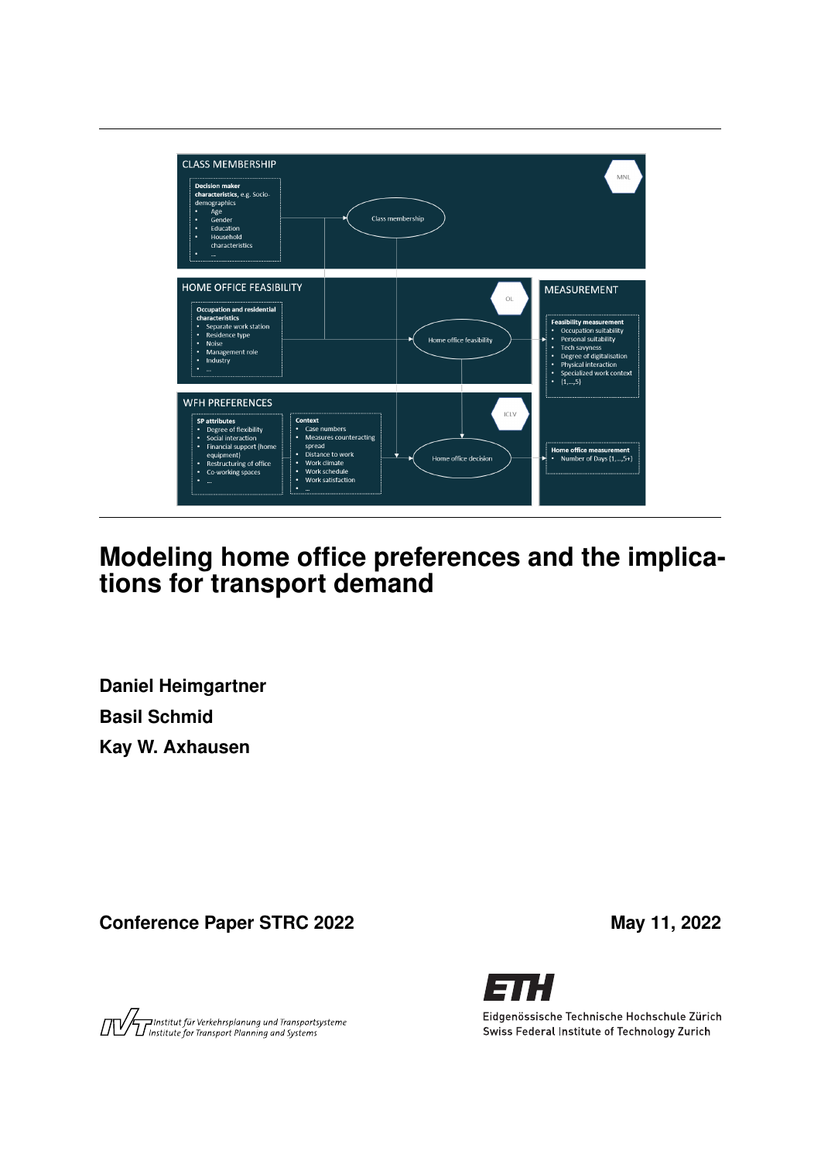

# **Modeling home office preferences and the implications for transport demand**

**Daniel Heimgartner Basil Schmid Kay W. Axhausen**

Conference Paper STRC 2022 May 11, 2022

Austitut für Verkehrsplanung und Transportsysteme<br>Austrantische Fransport Planning and Systems



Eidgenössische Technische Hochschule Zürich Swiss Federal Institute of Technology Zurich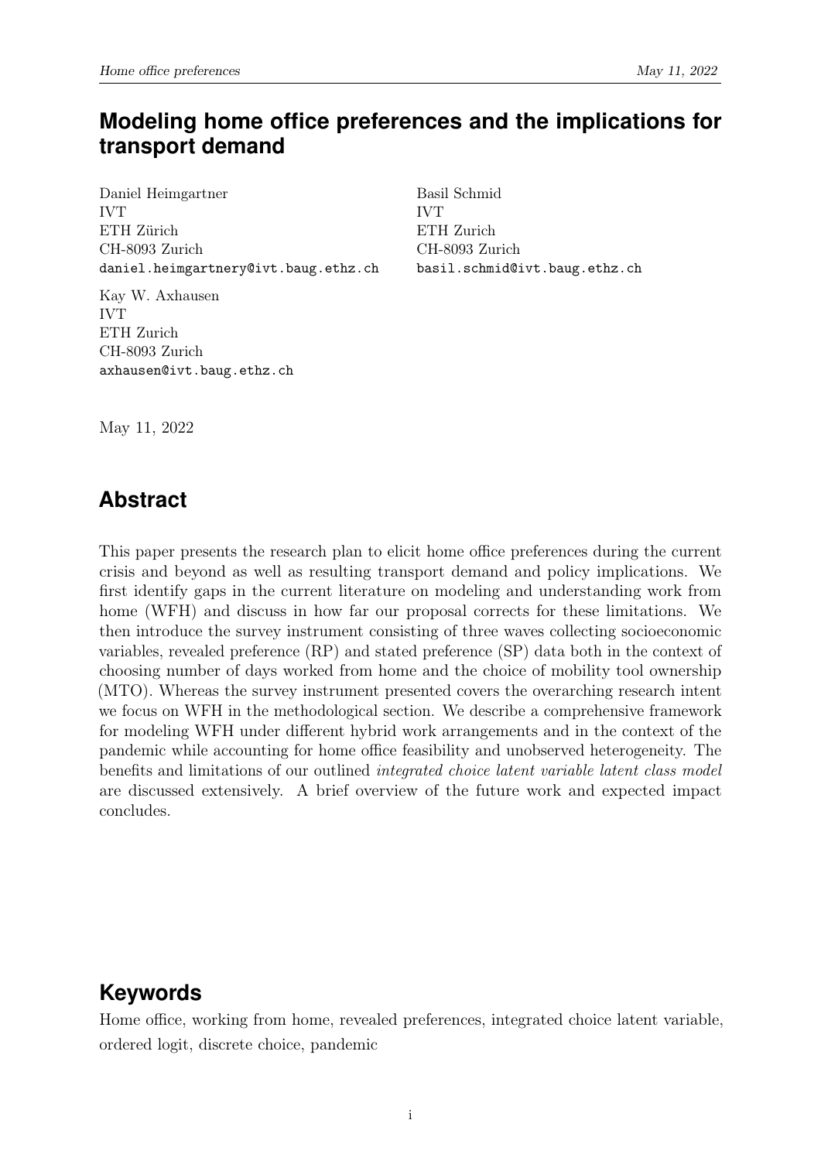## **Modeling home office preferences and the implications for transport demand**

Daniel Heimgartner IVT ETH Zürich CH-8093 Zurich daniel.heimgartnery@ivt.baug.ethz.ch

Kay W. Axhausen IVT ETH Zurich CH-8093 Zurich axhausen@ivt.baug.ethz.ch Basil Schmid IVT ETH Zurich CH-8093 Zurich basil.schmid@ivt.baug.ethz.ch

May 11, 2022

### **Abstract**

This paper presents the research plan to elicit home office preferences during the current crisis and beyond as well as resulting transport demand and policy implications. We first identify gaps in the current literature on modeling and understanding work from home (WFH) and discuss in how far our proposal corrects for these limitations. We then introduce the survey instrument consisting of three waves collecting socioeconomic variables, revealed preference (RP) and stated preference (SP) data both in the context of choosing number of days worked from home and the choice of mobility tool ownership (MTO). Whereas the survey instrument presented covers the overarching research intent we focus on WFH in the methodological section. We describe a comprehensive framework for modeling WFH under different hybrid work arrangements and in the context of the pandemic while accounting for home office feasibility and unobserved heterogeneity. The benefits and limitations of our outlined integrated choice latent variable latent class model are discussed extensively. A brief overview of the future work and expected impact concludes.

## **Keywords**

Home office, working from home, revealed preferences, integrated choice latent variable, ordered logit, discrete choice, pandemic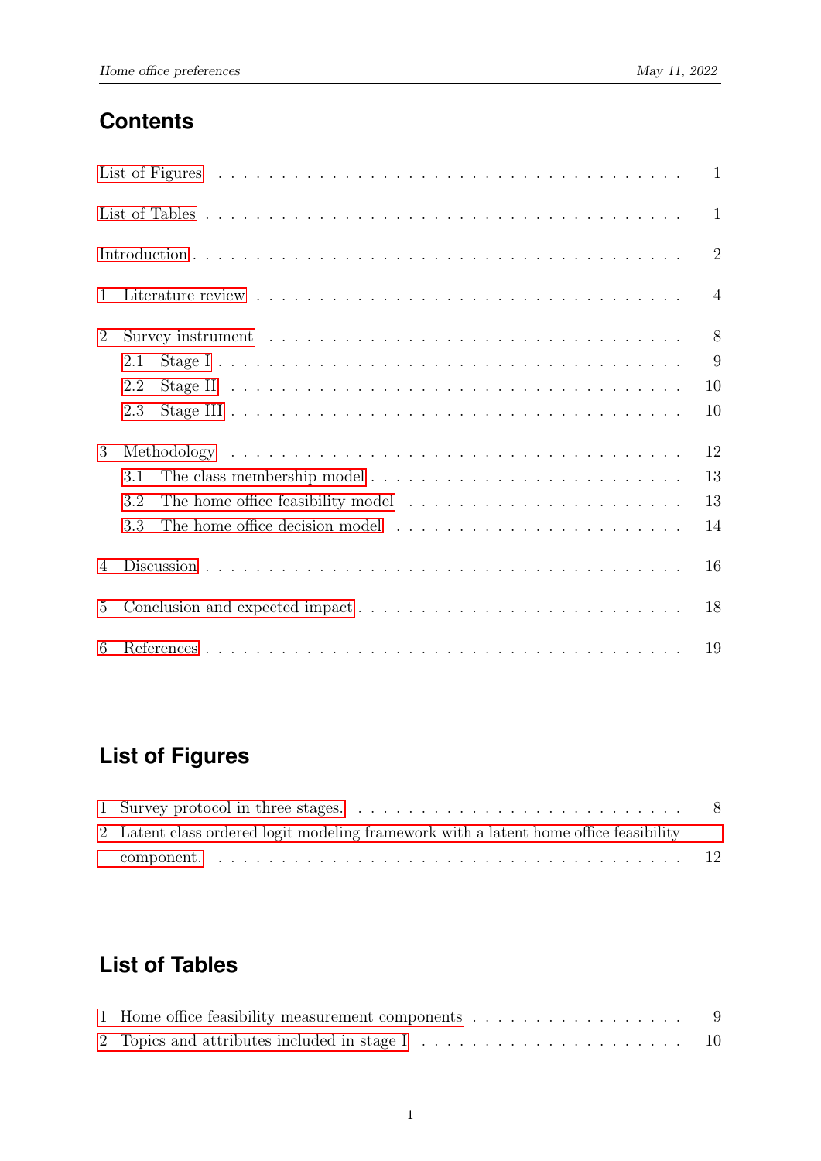# **Contents**

|                 |     | $\mathbf{1}$   |
|-----------------|-----|----------------|
|                 |     | $\mathbf{1}$   |
|                 |     | $\overline{2}$ |
| 1               |     | $\overline{4}$ |
| $\overline{2}$  |     | 8              |
|                 | 2.1 | 9              |
|                 | 2.2 | 10             |
|                 | 2.3 | 10             |
| 3               |     | 12             |
|                 | 3.1 | 13             |
|                 | 3.2 | 13             |
|                 | 3.3 | 14             |
| 4               |     | 16             |
| $5\overline{)}$ |     | 18             |
| 6               |     | 19             |

# <span id="page-2-0"></span>**List of Figures**

| 2 Latent class ordered logit modeling framework with a latent home office feasibility |  |
|---------------------------------------------------------------------------------------|--|
|                                                                                       |  |

# <span id="page-2-1"></span>**List of Tables**

| 1 Home office feasibility measurement components $\dots \dots \dots \dots \dots \dots \dots$ |  |
|----------------------------------------------------------------------------------------------|--|
|                                                                                              |  |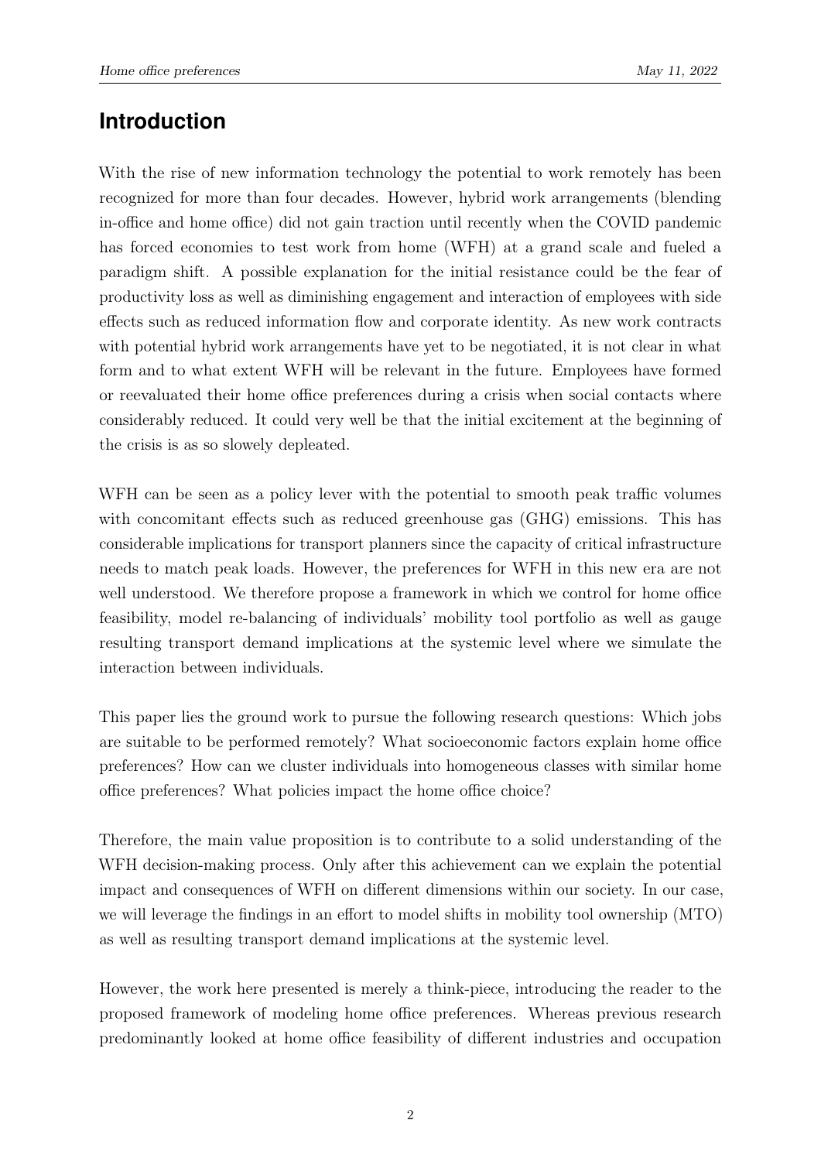## **Introduction**

With the rise of new information technology the potential to work remotely has been recognized for more than four decades. However, hybrid work arrangements (blending in-office and home office) did not gain traction until recently when the COVID pandemic has forced economies to test work from home (WFH) at a grand scale and fueled a paradigm shift. A possible explanation for the initial resistance could be the fear of productivity loss as well as diminishing engagement and interaction of employees with side effects such as reduced information flow and corporate identity. As new work contracts with potential hybrid work arrangements have yet to be negotiated, it is not clear in what form and to what extent WFH will be relevant in the future. Employees have formed or reevaluated their home office preferences during a crisis when social contacts where considerably reduced. It could very well be that the initial excitement at the beginning of the crisis is as so slowely depleated.

WFH can be seen as a policy lever with the potential to smooth peak traffic volumes with concomitant effects such as reduced greenhouse gas (GHG) emissions. This has considerable implications for transport planners since the capacity of critical infrastructure needs to match peak loads. However, the preferences for WFH in this new era are not well understood. We therefore propose a framework in which we control for home office feasibility, model re-balancing of individuals' mobility tool portfolio as well as gauge resulting transport demand implications at the systemic level where we simulate the interaction between individuals.

This paper lies the ground work to pursue the following research questions: Which jobs are suitable to be performed remotely? What socioeconomic factors explain home office preferences? How can we cluster individuals into homogeneous classes with similar home office preferences? What policies impact the home office choice?

Therefore, the main value proposition is to contribute to a solid understanding of the WFH decision-making process. Only after this achievement can we explain the potential impact and consequences of WFH on different dimensions within our society. In our case, we will leverage the findings in an effort to model shifts in mobility tool ownership (MTO) as well as resulting transport demand implications at the systemic level.

However, the work here presented is merely a think-piece, introducing the reader to the proposed framework of modeling home office preferences. Whereas previous research predominantly looked at home office feasibility of different industries and occupation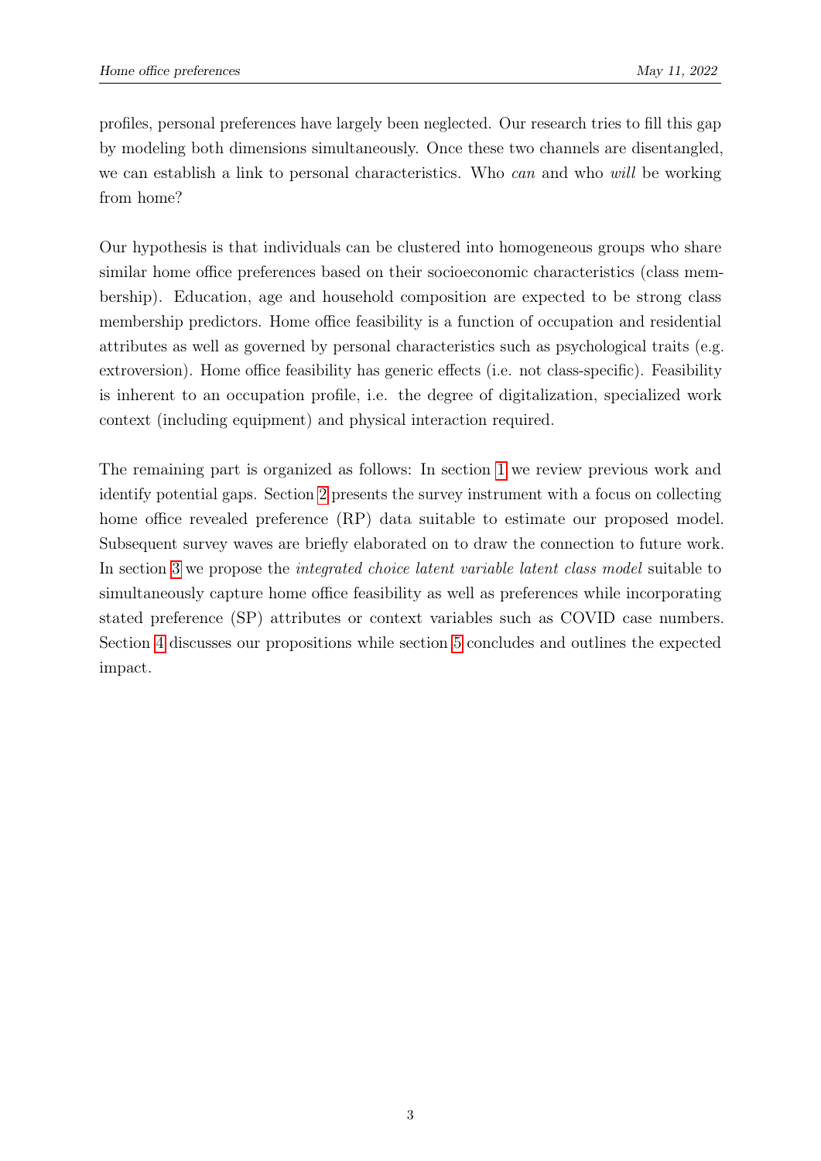profiles, personal preferences have largely been neglected. Our research tries to fill this gap by modeling both dimensions simultaneously. Once these two channels are disentangled, we can establish a link to personal characteristics. Who *can* and who will be working from home?

Our hypothesis is that individuals can be clustered into homogeneous groups who share similar home office preferences based on their socioeconomic characteristics (class membership). Education, age and household composition are expected to be strong class membership predictors. Home office feasibility is a function of occupation and residential attributes as well as governed by personal characteristics such as psychological traits (e.g. extroversion). Home office feasibility has generic effects (i.e. not class-specific). Feasibility is inherent to an occupation profile, i.e. the degree of digitalization, specialized work context (including equipment) and physical interaction required.

The remaining part is organized as follows: In section [1](#page-5-0) we review previous work and identify potential gaps. Section [2](#page-9-0) presents the survey instrument with a focus on collecting home office revealed preference (RP) data suitable to estimate our proposed model. Subsequent survey waves are briefly elaborated on to draw the connection to future work. In section [3](#page-13-0) we propose the *integrated choice latent variable latent class model* suitable to simultaneously capture home office feasibility as well as preferences while incorporating stated preference (SP) attributes or context variables such as COVID case numbers. Section [4](#page-17-0) discusses our propositions while section [5](#page-19-0) concludes and outlines the expected impact.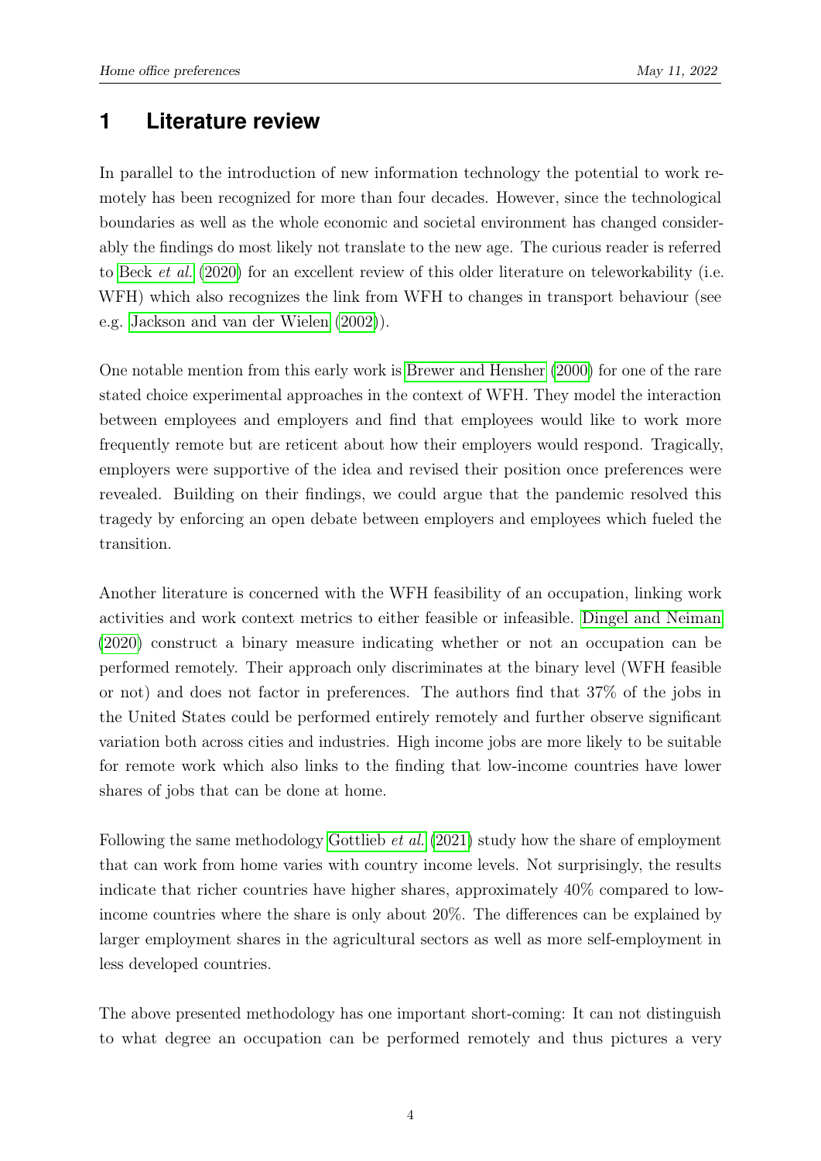### <span id="page-5-0"></span>**1 Literature review**

In parallel to the introduction of new information technology the potential to work remotely has been recognized for more than four decades. However, since the technological boundaries as well as the whole economic and societal environment has changed considerably the findings do most likely not translate to the new age. The curious reader is referred to Beck [et al.](#page-20-1) [\(2020\)](#page-20-1) for an excellent review of this older literature on teleworkability (i.e. WFH) which also recognizes the link from WFH to changes in transport behaviour (see e.g. [Jackson and van der Wielen](#page-21-0) [\(2002\)](#page-21-0)).

One notable mention from this early work is [Brewer and Hensher](#page-20-2) [\(2000\)](#page-20-2) for one of the rare stated choice experimental approaches in the context of WFH. They model the interaction between employees and employers and find that employees would like to work more frequently remote but are reticent about how their employers would respond. Tragically, employers were supportive of the idea and revised their position once preferences were revealed. Building on their findings, we could argue that the pandemic resolved this tragedy by enforcing an open debate between employers and employees which fueled the transition.

Another literature is concerned with the WFH feasibility of an occupation, linking work activities and work context metrics to either feasible or infeasible. [Dingel and Neiman](#page-20-3) [\(2020\)](#page-20-3) construct a binary measure indicating whether or not an occupation can be performed remotely. Their approach only discriminates at the binary level (WFH feasible or not) and does not factor in preferences. The authors find that 37% of the jobs in the United States could be performed entirely remotely and further observe significant variation both across cities and industries. High income jobs are more likely to be suitable for remote work which also links to the finding that low-income countries have lower shares of jobs that can be done at home.

Following the same methodology [Gottlieb](#page-20-4) *et al.* [\(2021\)](#page-20-4) study how the share of employment that can work from home varies with country income levels. Not surprisingly, the results indicate that richer countries have higher shares, approximately 40% compared to lowincome countries where the share is only about 20%. The differences can be explained by larger employment shares in the agricultural sectors as well as more self-employment in less developed countries.

The above presented methodology has one important short-coming: It can not distinguish to what degree an occupation can be performed remotely and thus pictures a very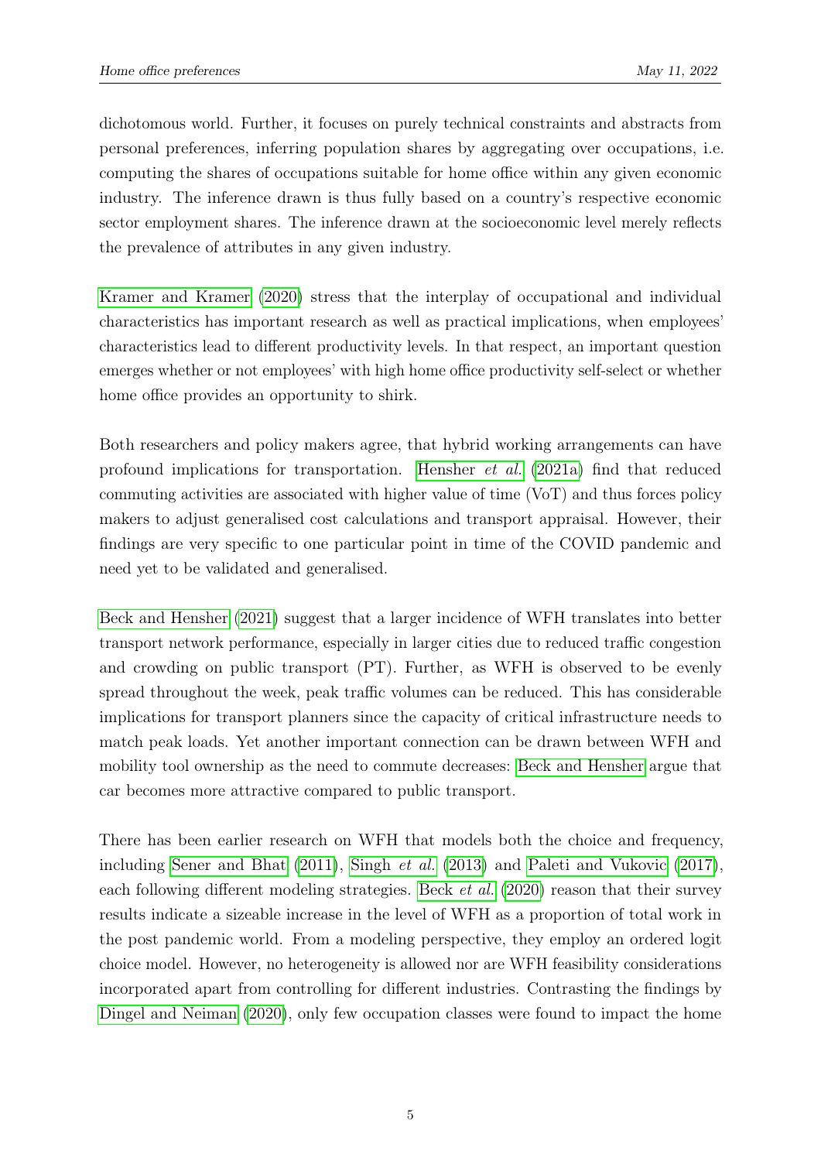dichotomous world. Further, it focuses on purely technical constraints and abstracts from personal preferences, inferring population shares by aggregating over occupations, i.e. computing the shares of occupations suitable for home office within any given economic industry. The inference drawn is thus fully based on a country's respective economic sector employment shares. The inference drawn at the socioeconomic level merely reflects the prevalence of attributes in any given industry.

[Kramer and Kramer](#page-21-1) [\(2020\)](#page-21-1) stress that the interplay of occupational and individual characteristics has important research as well as practical implications, when employees' characteristics lead to different productivity levels. In that respect, an important question emerges whether or not employees' with high home office productivity self-select or whether home office provides an opportunity to shirk.

Both researchers and policy makers agree, that hybrid working arrangements can have profound implications for transportation. [Hensher](#page-20-5) et al. [\(2021a\)](#page-20-5) find that reduced commuting activities are associated with higher value of time (VoT) and thus forces policy makers to adjust generalised cost calculations and transport appraisal. However, their findings are very specific to one particular point in time of the COVID pandemic and need yet to be validated and generalised.

[Beck and Hensher](#page-20-6) [\(2021\)](#page-20-6) suggest that a larger incidence of WFH translates into better transport network performance, especially in larger cities due to reduced traffic congestion and crowding on public transport (PT). Further, as WFH is observed to be evenly spread throughout the week, peak traffic volumes can be reduced. This has considerable implications for transport planners since the capacity of critical infrastructure needs to match peak loads. Yet another important connection can be drawn between WFH and mobility tool ownership as the need to commute decreases: [Beck and Hensher](#page-20-6) argue that car becomes more attractive compared to public transport.

There has been earlier research on WFH that models both the choice and frequency, including [Sener and Bhat](#page-21-2) [\(2011\)](#page-21-2), [Singh](#page-21-3) et al. [\(2013\)](#page-21-3) and [Paleti and Vukovic](#page-21-4) [\(2017\)](#page-21-4), each following different modeling strategies. Beck *[et al.](#page-20-1)* [\(2020\)](#page-20-1) reason that their survey results indicate a sizeable increase in the level of WFH as a proportion of total work in the post pandemic world. From a modeling perspective, they employ an ordered logit choice model. However, no heterogeneity is allowed nor are WFH feasibility considerations incorporated apart from controlling for different industries. Contrasting the findings by [Dingel and Neiman](#page-20-3) [\(2020\)](#page-20-3), only few occupation classes were found to impact the home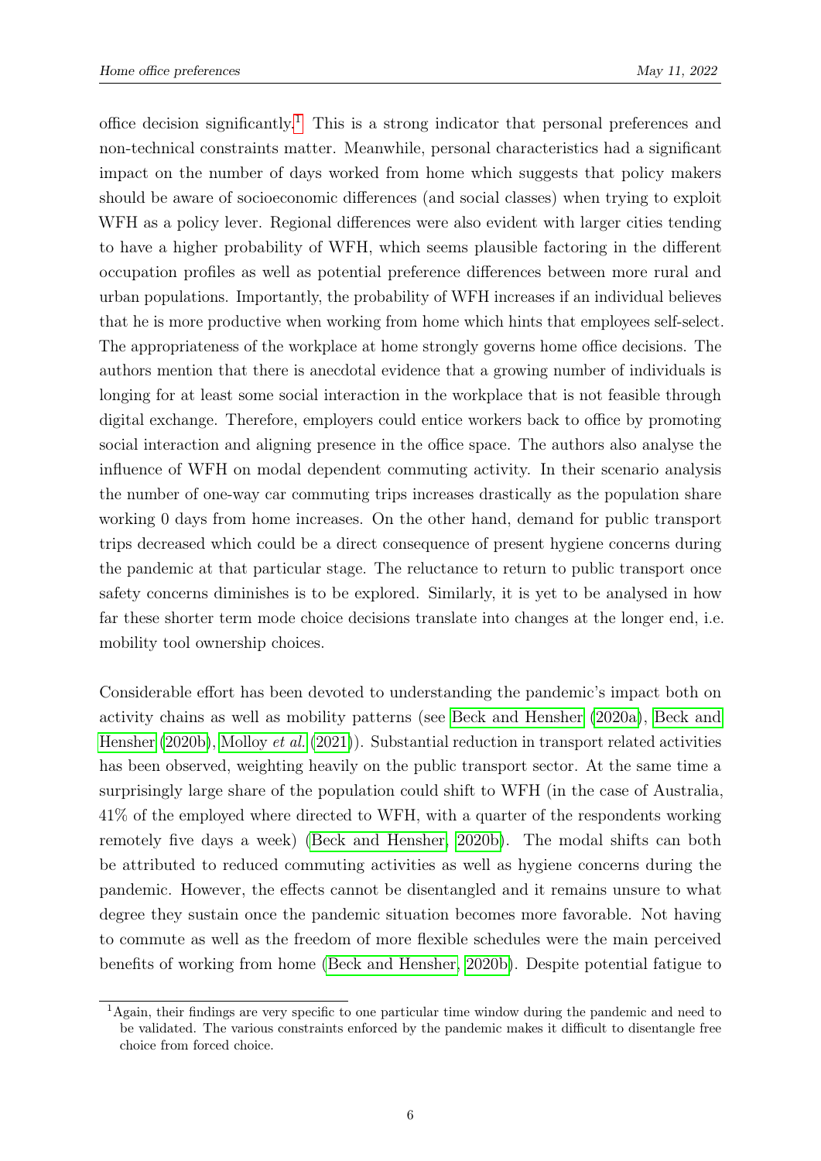office decision significantly.<sup>[1](#page-7-0)</sup> This is a strong indicator that personal preferences and non-technical constraints matter. Meanwhile, personal characteristics had a significant impact on the number of days worked from home which suggests that policy makers should be aware of socioeconomic differences (and social classes) when trying to exploit WFH as a policy lever. Regional differences were also evident with larger cities tending to have a higher probability of WFH, which seems plausible factoring in the different occupation profiles as well as potential preference differences between more rural and urban populations. Importantly, the probability of WFH increases if an individual believes that he is more productive when working from home which hints that employees self-select. The appropriateness of the workplace at home strongly governs home office decisions. The authors mention that there is anecdotal evidence that a growing number of individuals is longing for at least some social interaction in the workplace that is not feasible through digital exchange. Therefore, employers could entice workers back to office by promoting social interaction and aligning presence in the office space. The authors also analyse the influence of WFH on modal dependent commuting activity. In their scenario analysis the number of one-way car commuting trips increases drastically as the population share working 0 days from home increases. On the other hand, demand for public transport trips decreased which could be a direct consequence of present hygiene concerns during the pandemic at that particular stage. The reluctance to return to public transport once safety concerns diminishes is to be explored. Similarly, it is yet to be analysed in how far these shorter term mode choice decisions translate into changes at the longer end, i.e. mobility tool ownership choices.

Considerable effort has been devoted to understanding the pandemic's impact both on activity chains as well as mobility patterns (see [Beck and Hensher](#page-20-7) [\(2020a\)](#page-20-7), [Beck and](#page-20-8) [Hensher](#page-20-8) [\(2020b\)](#page-20-8), [Molloy](#page-21-5) *et al.* [\(2021\)](#page-21-5)). Substantial reduction in transport related activities has been observed, weighting heavily on the public transport sector. At the same time a surprisingly large share of the population could shift to WFH (in the case of Australia, 41% of the employed where directed to WFH, with a quarter of the respondents working remotely five days a week) [\(Beck and Hensher, 2020b\)](#page-20-8). The modal shifts can both be attributed to reduced commuting activities as well as hygiene concerns during the pandemic. However, the effects cannot be disentangled and it remains unsure to what degree they sustain once the pandemic situation becomes more favorable. Not having to commute as well as the freedom of more flexible schedules were the main perceived benefits of working from home [\(Beck and Hensher, 2020b\)](#page-20-8). Despite potential fatigue to

<span id="page-7-0"></span><sup>1</sup>Again, their findings are very specific to one particular time window during the pandemic and need to be validated. The various constraints enforced by the pandemic makes it difficult to disentangle free choice from forced choice.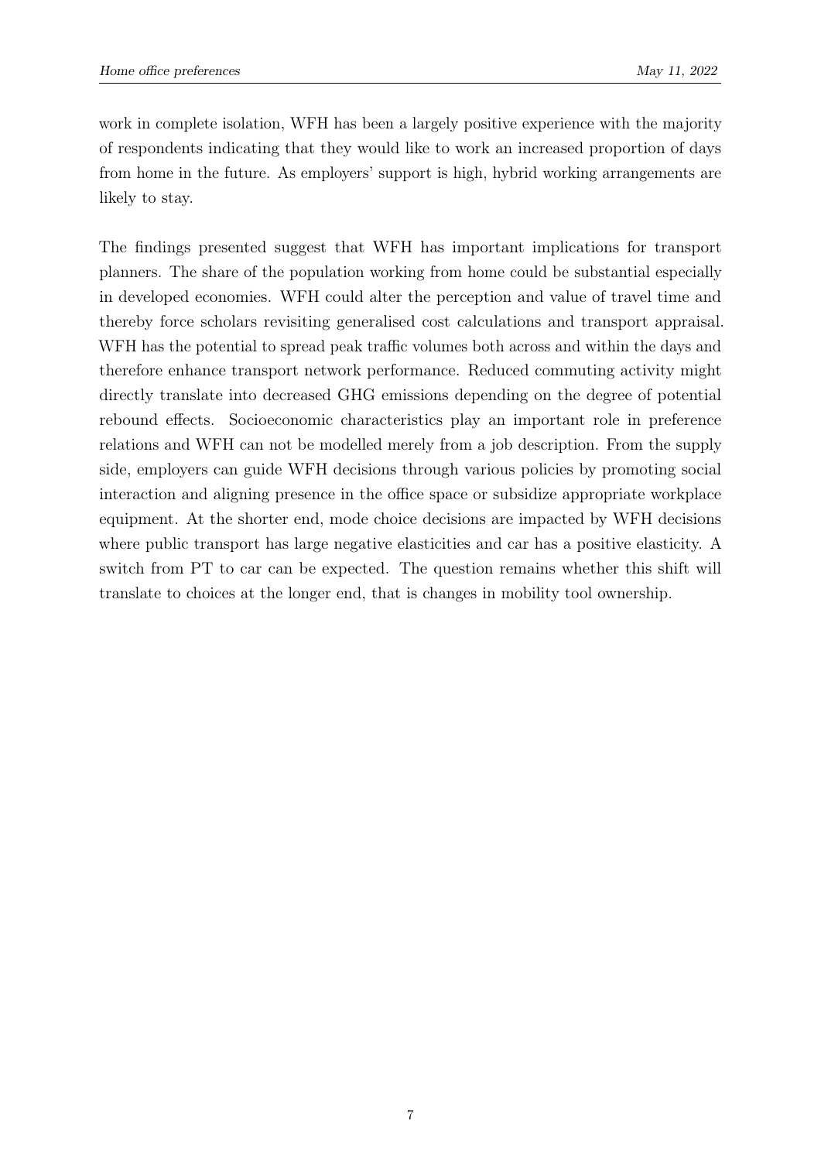work in complete isolation, WFH has been a largely positive experience with the majority of respondents indicating that they would like to work an increased proportion of days from home in the future. As employers' support is high, hybrid working arrangements are likely to stay.

The findings presented suggest that WFH has important implications for transport planners. The share of the population working from home could be substantial especially in developed economies. WFH could alter the perception and value of travel time and thereby force scholars revisiting generalised cost calculations and transport appraisal. WFH has the potential to spread peak traffic volumes both across and within the days and therefore enhance transport network performance. Reduced commuting activity might directly translate into decreased GHG emissions depending on the degree of potential rebound effects. Socioeconomic characteristics play an important role in preference relations and WFH can not be modelled merely from a job description. From the supply side, employers can guide WFH decisions through various policies by promoting social interaction and aligning presence in the office space or subsidize appropriate workplace equipment. At the shorter end, mode choice decisions are impacted by WFH decisions where public transport has large negative elasticities and car has a positive elasticity. A switch from PT to car can be expected. The question remains whether this shift will translate to choices at the longer end, that is changes in mobility tool ownership.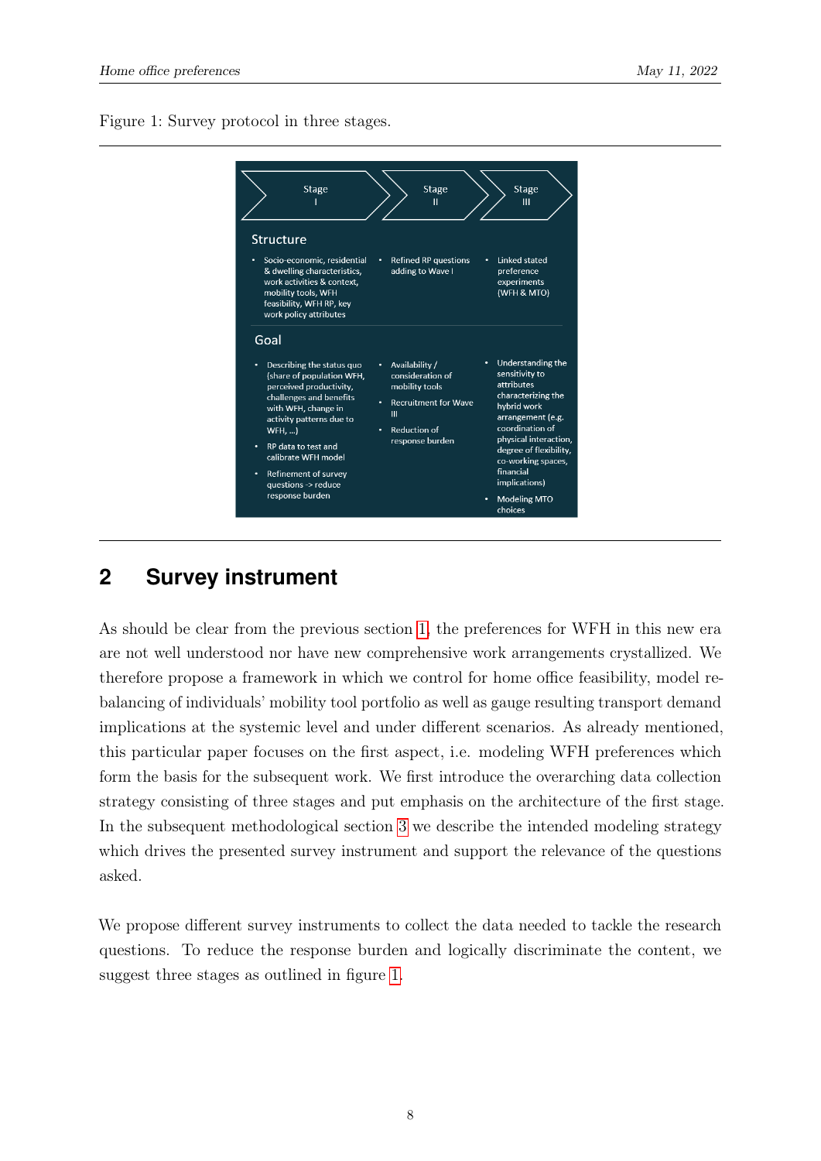<span id="page-9-1"></span>Figure 1: Survey protocol in three stages.



# <span id="page-9-0"></span>**2 Survey instrument**

As should be clear from the previous section [1,](#page-5-0) the preferences for WFH in this new era are not well understood nor have new comprehensive work arrangements crystallized. We therefore propose a framework in which we control for home office feasibility, model rebalancing of individuals' mobility tool portfolio as well as gauge resulting transport demand implications at the systemic level and under different scenarios. As already mentioned, this particular paper focuses on the first aspect, i.e. modeling WFH preferences which form the basis for the subsequent work. We first introduce the overarching data collection strategy consisting of three stages and put emphasis on the architecture of the first stage. In the subsequent methodological section [3](#page-13-0) we describe the intended modeling strategy which drives the presented survey instrument and support the relevance of the questions asked.

We propose different survey instruments to collect the data needed to tackle the research questions. To reduce the response burden and logically discriminate the content, we suggest three stages as outlined in figure [1.](#page-9-1)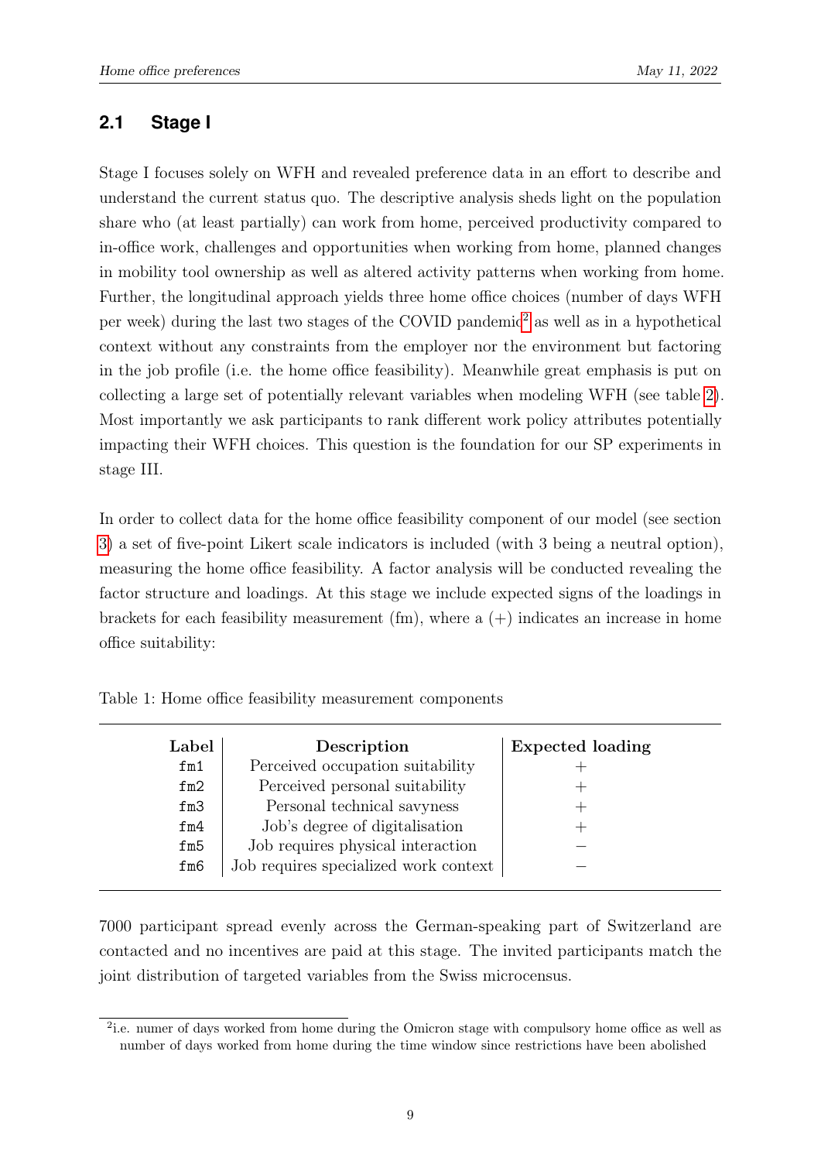### <span id="page-10-0"></span>**2.1 Stage I**

Stage I focuses solely on WFH and revealed preference data in an effort to describe and understand the current status quo. The descriptive analysis sheds light on the population share who (at least partially) can work from home, perceived productivity compared to in-office work, challenges and opportunities when working from home, planned changes in mobility tool ownership as well as altered activity patterns when working from home. Further, the longitudinal approach yields three home office choices (number of days WFH per week) during the last two stages of the COVID pandemic[2](#page-10-2) as well as in a hypothetical context without any constraints from the employer nor the environment but factoring in the job profile (i.e. the home office feasibility). Meanwhile great emphasis is put on collecting a large set of potentially relevant variables when modeling WFH (see table [2\)](#page-11-2). Most importantly we ask participants to rank different work policy attributes potentially impacting their WFH choices. This question is the foundation for our SP experiments in stage III.

In order to collect data for the home office feasibility component of our model (see section [3\)](#page-13-0) a set of five-point Likert scale indicators is included (with 3 being a neutral option), measuring the home office feasibility. A factor analysis will be conducted revealing the factor structure and loadings. At this stage we include expected signs of the loadings in brackets for each feasibility measurement (fm), where a  $(+)$  indicates an increase in home office suitability:

<span id="page-10-1"></span>

| Label | Description                           | <b>Expected loading</b> |
|-------|---------------------------------------|-------------------------|
| fm1   | Perceived occupation suitability      |                         |
| fm2   | Perceived personal suitability        |                         |
| fm3   | Personal technical savyness           |                         |
| fm4   | Job's degree of digitalisation        |                         |
| fm5   | Job requires physical interaction     |                         |
| fm6   | Job requires specialized work context |                         |

Table 1: Home office feasibility measurement components

7000 participant spread evenly across the German-speaking part of Switzerland are contacted and no incentives are paid at this stage. The invited participants match the joint distribution of targeted variables from the Swiss microcensus.

<span id="page-10-2"></span><sup>&</sup>lt;sup>2</sup>i.e. numer of days worked from home during the Omicron stage with compulsory home office as well as number of days worked from home during the time window since restrictions have been abolished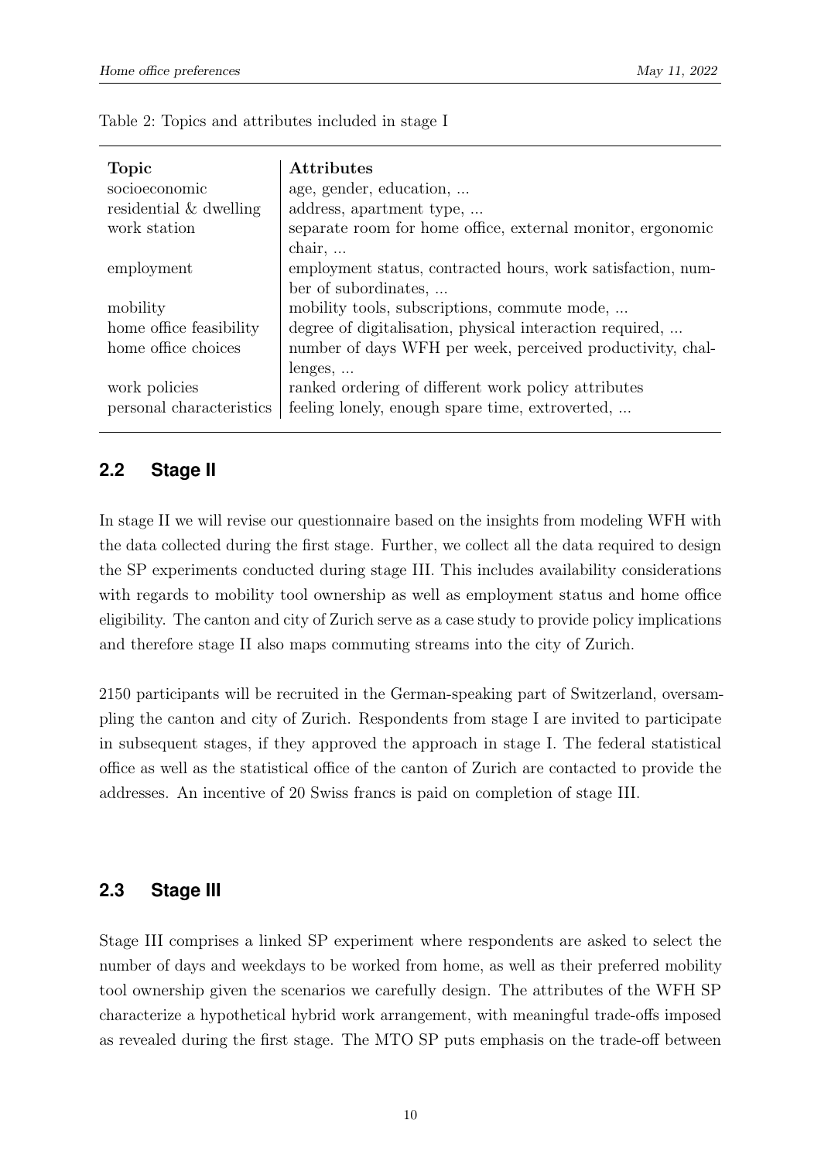<span id="page-11-2"></span>

| <b>Topic</b>             | <b>Attributes</b>                                            |
|--------------------------|--------------------------------------------------------------|
| socioeconomic            | age, gender, education,                                      |
| residential & dwelling   | address, apartment type,                                     |
| work station             | separate room for home office, external monitor, ergonomic   |
|                          | $\chi$ chair,                                                |
| employment               | employment status, contracted hours, work satisfaction, num- |
|                          | ber of subordinates,                                         |
| mobility                 | mobility tools, subscriptions, commute mode,                 |
| home office feasibility  | degree of digitalisation, physical interaction required,     |
| home office choices      | number of days WFH per week, perceived productivity, chal-   |
|                          | lenges,                                                      |
| work policies            | ranked ordering of different work policy attributes          |
| personal characteristics | feeling lonely, enough spare time, extroverted,              |

|  |  |  | Table 2: Topics and attributes included in stage I |  |  |  |  |
|--|--|--|----------------------------------------------------|--|--|--|--|
|--|--|--|----------------------------------------------------|--|--|--|--|

### <span id="page-11-0"></span>**2.2 Stage II**

In stage II we will revise our questionnaire based on the insights from modeling WFH with the data collected during the first stage. Further, we collect all the data required to design the SP experiments conducted during stage III. This includes availability considerations with regards to mobility tool ownership as well as employment status and home office eligibility. The canton and city of Zurich serve as a case study to provide policy implications and therefore stage II also maps commuting streams into the city of Zurich.

2150 participants will be recruited in the German-speaking part of Switzerland, oversampling the canton and city of Zurich. Respondents from stage I are invited to participate in subsequent stages, if they approved the approach in stage I. The federal statistical office as well as the statistical office of the canton of Zurich are contacted to provide the addresses. An incentive of 20 Swiss francs is paid on completion of stage III.

### <span id="page-11-1"></span>**2.3 Stage III**

Stage III comprises a linked SP experiment where respondents are asked to select the number of days and weekdays to be worked from home, as well as their preferred mobility tool ownership given the scenarios we carefully design. The attributes of the WFH SP characterize a hypothetical hybrid work arrangement, with meaningful trade-offs imposed as revealed during the first stage. The MTO SP puts emphasis on the trade-off between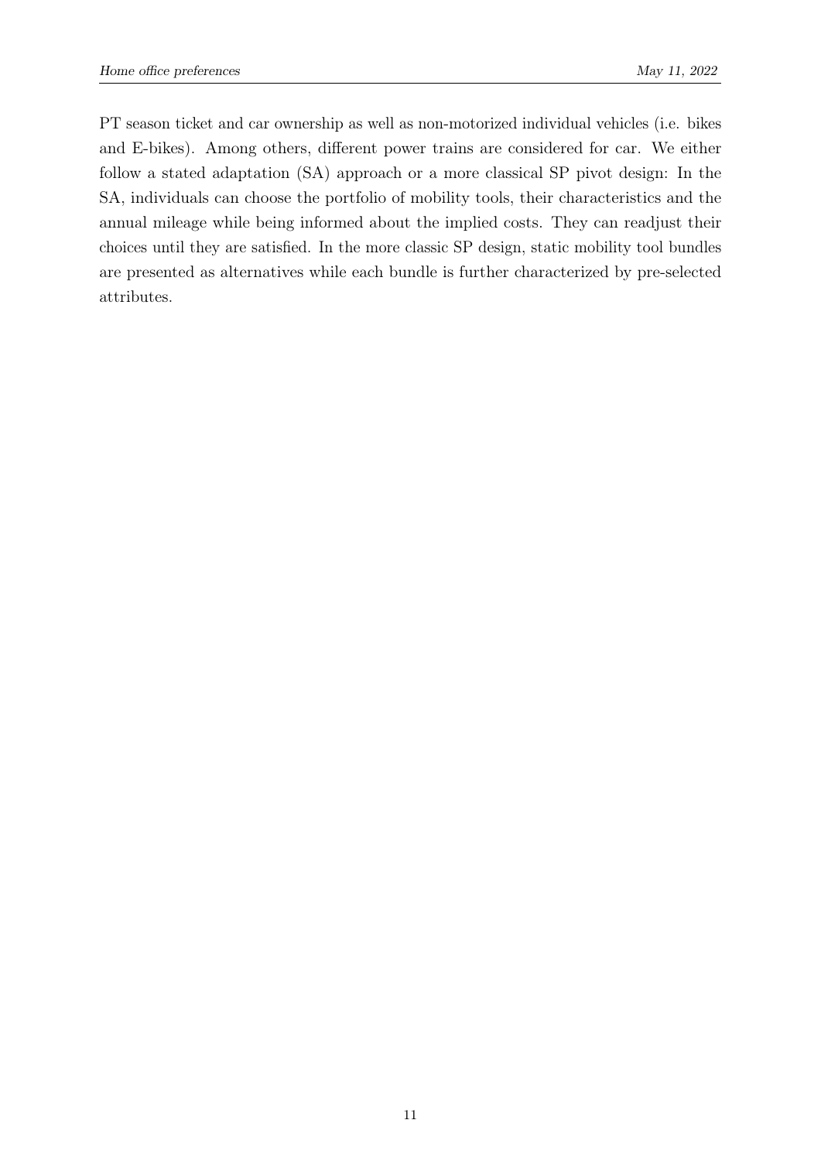PT season ticket and car ownership as well as non-motorized individual vehicles (i.e. bikes and E-bikes). Among others, different power trains are considered for car. We either follow a stated adaptation (SA) approach or a more classical SP pivot design: In the SA, individuals can choose the portfolio of mobility tools, their characteristics and the annual mileage while being informed about the implied costs. They can readjust their choices until they are satisfied. In the more classic SP design, static mobility tool bundles are presented as alternatives while each bundle is further characterized by pre-selected attributes.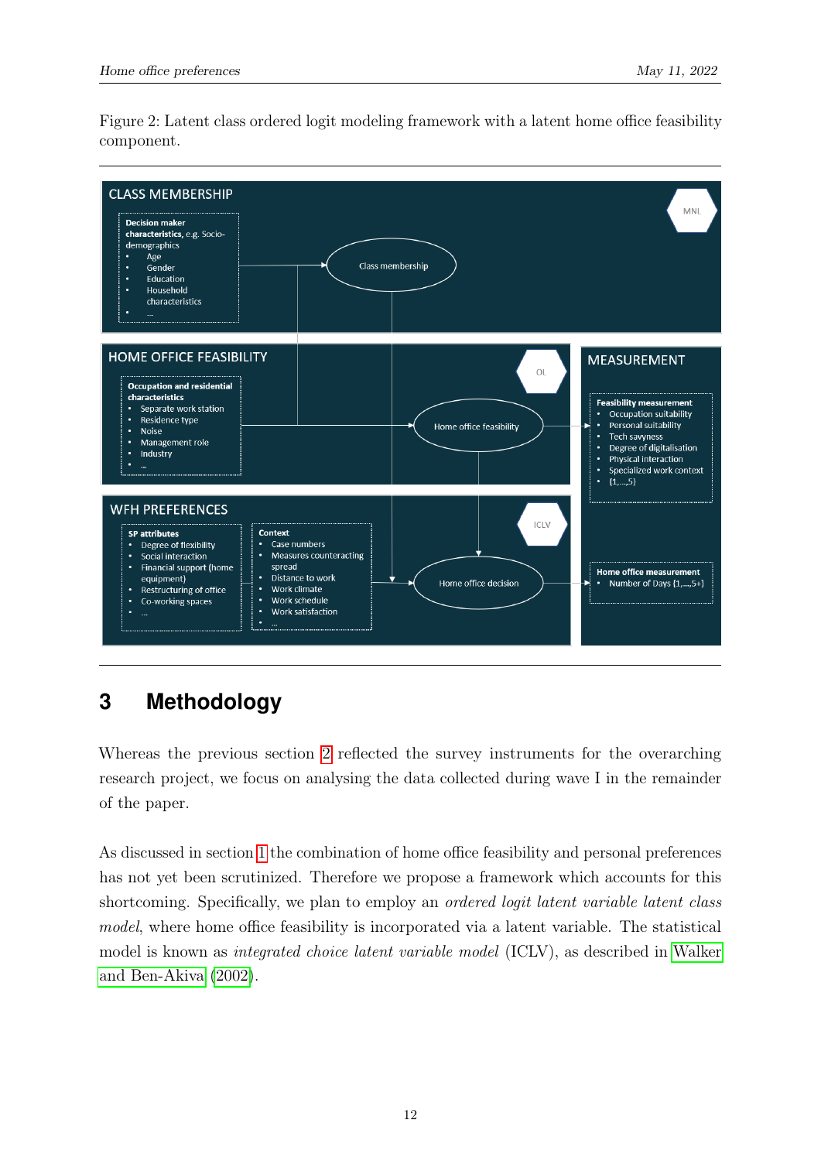Figure 2: Latent class ordered logit modeling framework with a latent home office feasibility component.

<span id="page-13-1"></span>

## <span id="page-13-0"></span>**3 Methodology**

Whereas the previous section [2](#page-9-0) reflected the survey instruments for the overarching research project, we focus on analysing the data collected during wave I in the remainder of the paper.

As discussed in section [1](#page-5-0) the combination of home office feasibility and personal preferences has not yet been scrutinized. Therefore we propose a framework which accounts for this shortcoming. Specifically, we plan to employ an *ordered logit latent variable latent class* model, where home office feasibility is incorporated via a latent variable. The statistical model is known as integrated choice latent variable model (ICLV), as described in [Walker](#page-21-6) [and Ben-Akiva](#page-21-6) [\(2002\)](#page-21-6).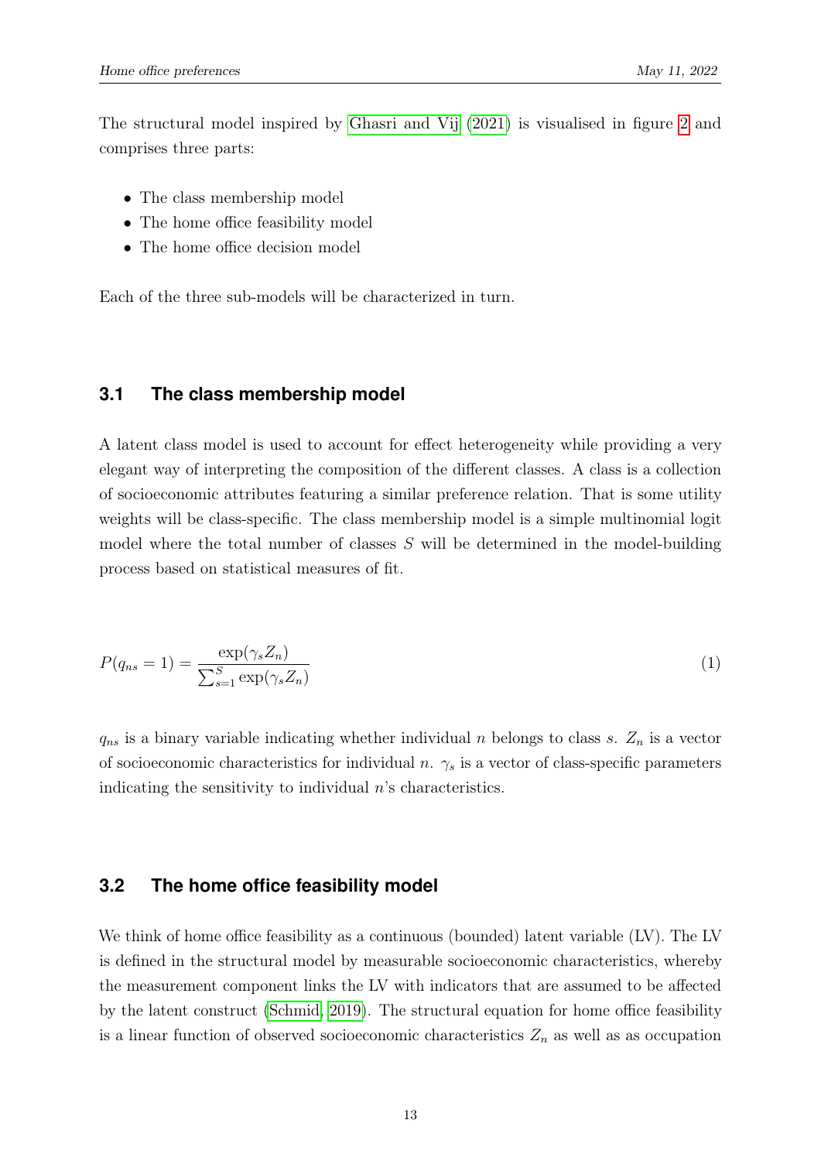The structural model inspired by [Ghasri and Vij](#page-20-9) [\(2021\)](#page-20-9) is visualised in figure [2](#page-13-1) and comprises three parts:

- The class membership model
- The home office feasibility model
- The home office decision model

<span id="page-14-0"></span>Each of the three sub-models will be characterized in turn.

### **3.1 The class membership model**

A latent class model is used to account for effect heterogeneity while providing a very elegant way of interpreting the composition of the different classes. A class is a collection of socioeconomic attributes featuring a similar preference relation. That is some utility weights will be class-specific. The class membership model is a simple multinomial logit model where the total number of classes S will be determined in the model-building process based on statistical measures of fit.

$$
P(q_{ns} = 1) = \frac{\exp(\gamma_s Z_n)}{\sum_{s=1}^S \exp(\gamma_s Z_n)}
$$
(1)

<span id="page-14-1"></span> $q_{ns}$  is a binary variable indicating whether individual n belongs to class s.  $Z_n$  is a vector of socioeconomic characteristics for individual n.  $\gamma_s$  is a vector of class-specific parameters indicating the sensitivity to individual  $n$ 's characteristics.

### **3.2 The home office feasibility model**

We think of home office feasibility as a continuous (bounded) latent variable (LV). The LV is defined in the structural model by measurable socioeconomic characteristics, whereby the measurement component links the LV with indicators that are assumed to be affected by the latent construct [\(Schmid, 2019\)](#page-21-7). The structural equation for home office feasibility is a linear function of observed socioeconomic characteristics  $Z_n$  as well as as occupation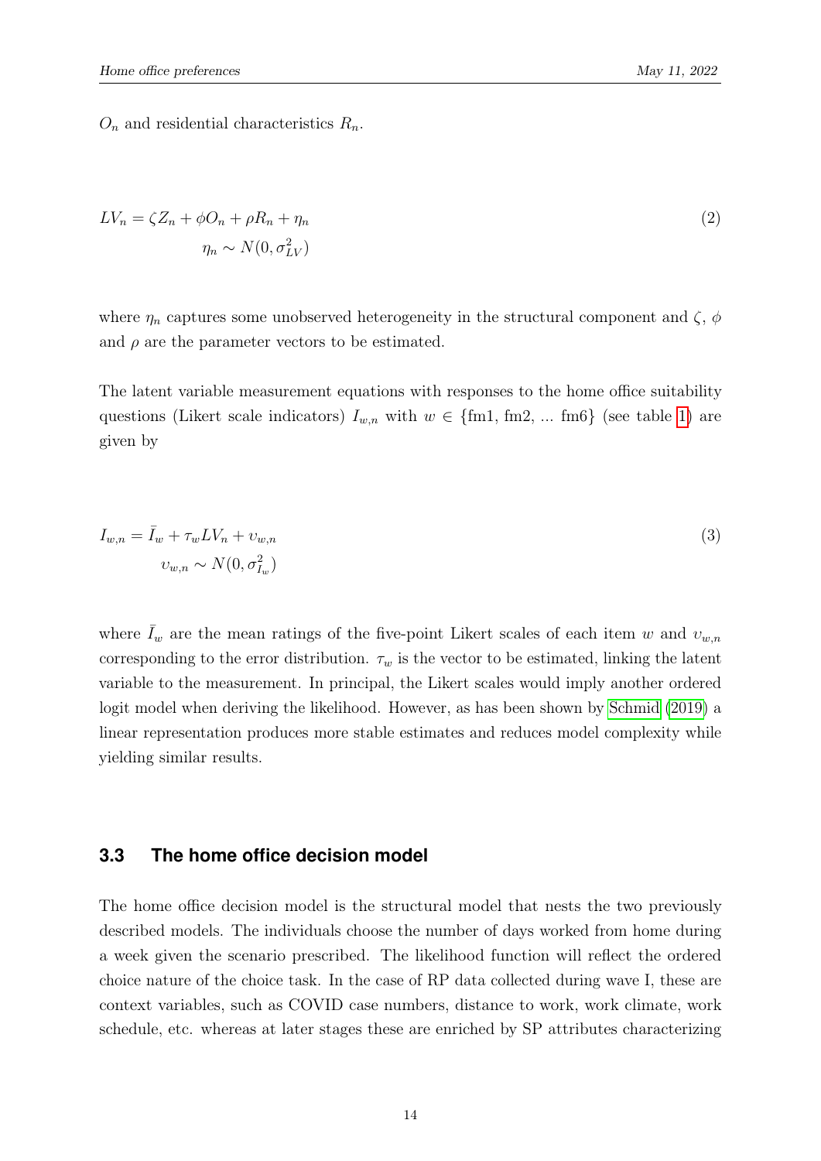$O_n$  and residential characteristics  $R_n$ .

$$
LV_n = \zeta Z_n + \phi O_n + \rho R_n + \eta_n
$$
  
\n
$$
\eta_n \sim N(0, \sigma_{LV}^2)
$$
\n(2)

where  $\eta_n$  captures some unobserved heterogeneity in the structural component and  $\zeta$ ,  $\phi$ and  $\rho$  are the parameter vectors to be estimated.

The latent variable measurement equations with responses to the home office suitability questions (Likert scale indicators)  $I_{w,n}$  with  $w \in \{\text{fm1}, \text{fm2}, \dots \text{fm6}\}\$  (see table [1\)](#page-10-1) are given by

$$
I_{w,n} = \overline{I}_w + \tau_w LV_n + \upsilon_{w,n}
$$
  

$$
\upsilon_{w,n} \sim N(0, \sigma_{I_w}^2)
$$
 (3)

where  $\bar{I}_w$  are the mean ratings of the five-point Likert scales of each item w and  $v_{w,n}$ corresponding to the error distribution.  $\tau_w$  is the vector to be estimated, linking the latent variable to the measurement. In principal, the Likert scales would imply another ordered logit model when deriving the likelihood. However, as has been shown by [Schmid](#page-21-7) [\(2019\)](#page-21-7) a linear representation produces more stable estimates and reduces model complexity while yielding similar results.

#### <span id="page-15-0"></span>**3.3 The home office decision model**

The home office decision model is the structural model that nests the two previously described models. The individuals choose the number of days worked from home during a week given the scenario prescribed. The likelihood function will reflect the ordered choice nature of the choice task. In the case of RP data collected during wave I, these are context variables, such as COVID case numbers, distance to work, work climate, work schedule, etc. whereas at later stages these are enriched by SP attributes characterizing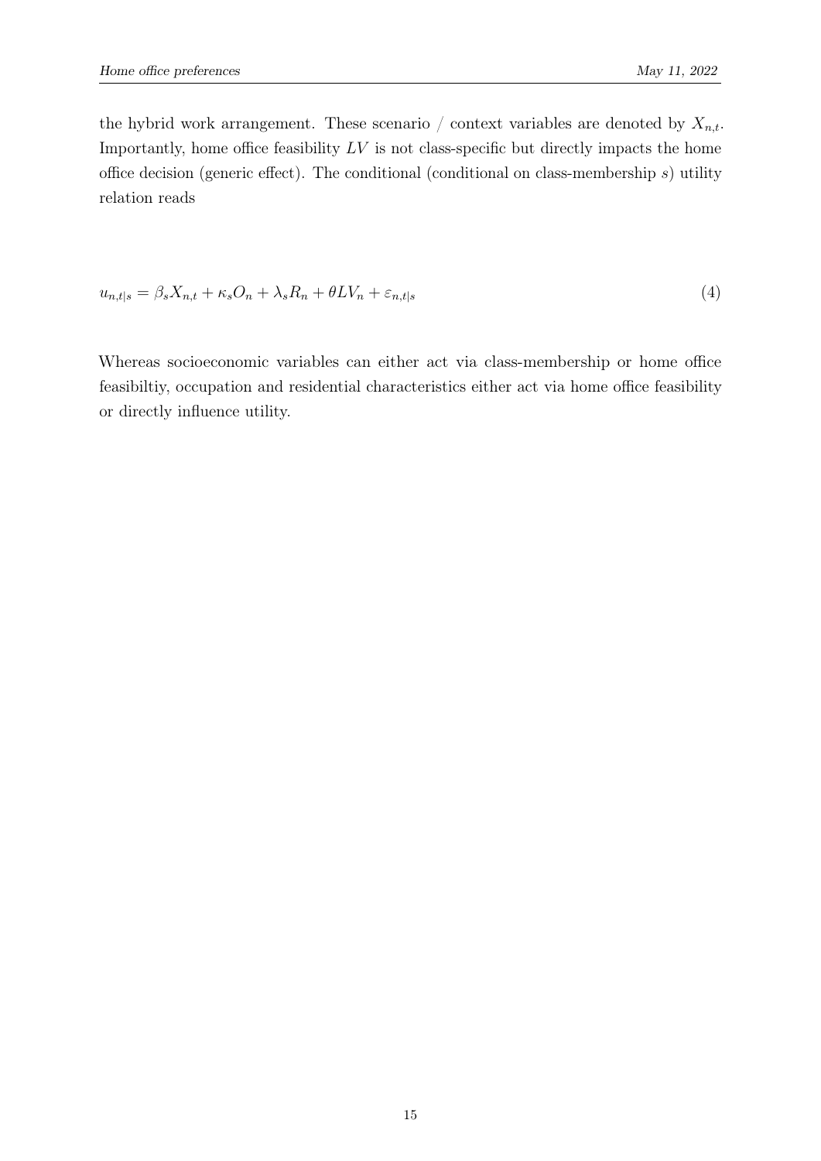the hybrid work arrangement. These scenario / context variables are denoted by  $X_{n,t}$ . Importantly, home office feasibility  $LV$  is not class-specific but directly impacts the home office decision (generic effect). The conditional (conditional on class-membership s) utility relation reads

<span id="page-16-0"></span>
$$
u_{n,t|s} = \beta_s X_{n,t} + \kappa_s O_n + \lambda_s R_n + \theta L V_n + \varepsilon_{n,t|s}
$$
\n<sup>(4)</sup>

Whereas socioeconomic variables can either act via class-membership or home office feasibiltiy, occupation and residential characteristics either act via home office feasibility or directly influence utility.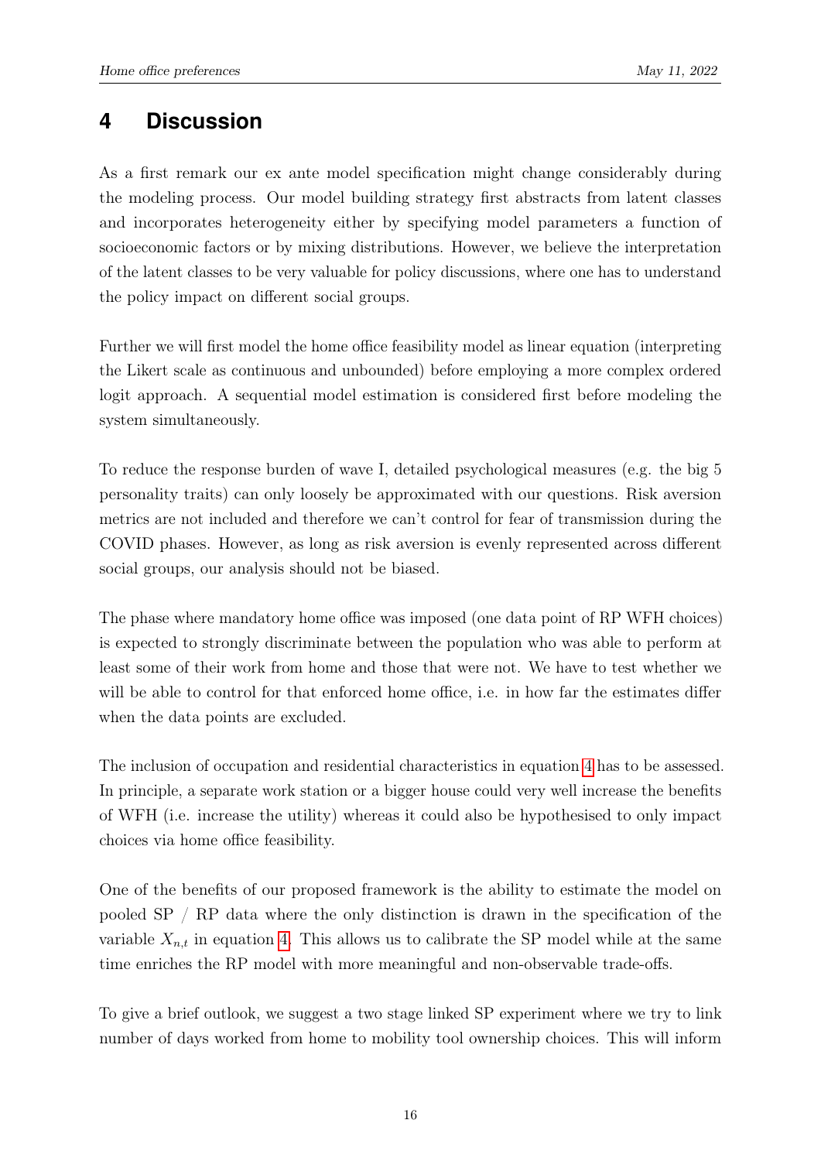## <span id="page-17-0"></span>**4 Discussion**

As a first remark our ex ante model specification might change considerably during the modeling process. Our model building strategy first abstracts from latent classes and incorporates heterogeneity either by specifying model parameters a function of socioeconomic factors or by mixing distributions. However, we believe the interpretation of the latent classes to be very valuable for policy discussions, where one has to understand the policy impact on different social groups.

Further we will first model the home office feasibility model as linear equation (interpreting the Likert scale as continuous and unbounded) before employing a more complex ordered logit approach. A sequential model estimation is considered first before modeling the system simultaneously.

To reduce the response burden of wave I, detailed psychological measures (e.g. the big 5 personality traits) can only loosely be approximated with our questions. Risk aversion metrics are not included and therefore we can't control for fear of transmission during the COVID phases. However, as long as risk aversion is evenly represented across different social groups, our analysis should not be biased.

The phase where mandatory home office was imposed (one data point of RP WFH choices) is expected to strongly discriminate between the population who was able to perform at least some of their work from home and those that were not. We have to test whether we will be able to control for that enforced home office, i.e. in how far the estimates differ when the data points are excluded.

The inclusion of occupation and residential characteristics in equation [4](#page-16-0) has to be assessed. In principle, a separate work station or a bigger house could very well increase the benefits of WFH (i.e. increase the utility) whereas it could also be hypothesised to only impact choices via home office feasibility.

One of the benefits of our proposed framework is the ability to estimate the model on pooled SP / RP data where the only distinction is drawn in the specification of the variable  $X_{n,t}$  in equation [4.](#page-16-0) This allows us to calibrate the SP model while at the same time enriches the RP model with more meaningful and non-observable trade-offs.

To give a brief outlook, we suggest a two stage linked SP experiment where we try to link number of days worked from home to mobility tool ownership choices. This will inform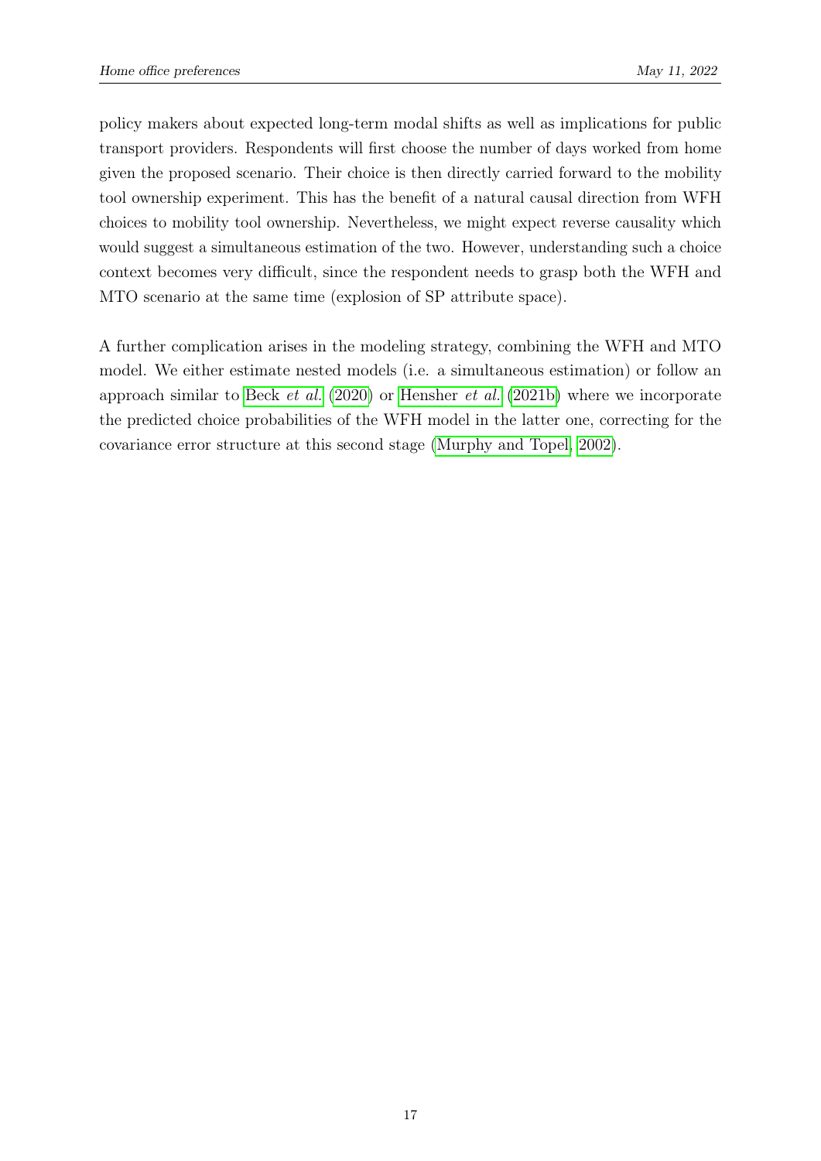policy makers about expected long-term modal shifts as well as implications for public transport providers. Respondents will first choose the number of days worked from home given the proposed scenario. Their choice is then directly carried forward to the mobility tool ownership experiment. This has the benefit of a natural causal direction from WFH choices to mobility tool ownership. Nevertheless, we might expect reverse causality which would suggest a simultaneous estimation of the two. However, understanding such a choice context becomes very difficult, since the respondent needs to grasp both the WFH and MTO scenario at the same time (explosion of SP attribute space).

A further complication arises in the modeling strategy, combining the WFH and MTO model. We either estimate nested models (i.e. a simultaneous estimation) or follow an approach similar to Beck [et al.](#page-20-1) [\(2020\)](#page-20-1) or [Hensher](#page-20-10) et al. [\(2021b\)](#page-20-10) where we incorporate the predicted choice probabilities of the WFH model in the latter one, correcting for the covariance error structure at this second stage [\(Murphy and Topel, 2002\)](#page-21-8).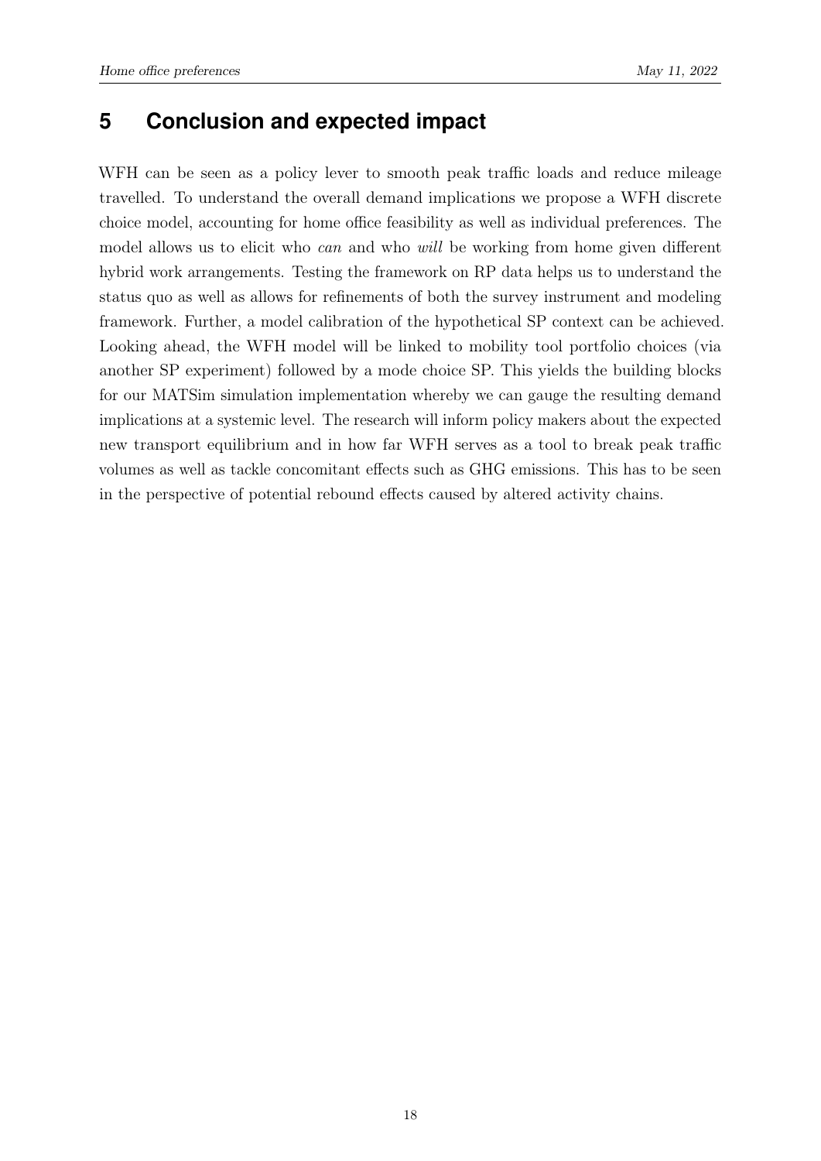## <span id="page-19-0"></span>**5 Conclusion and expected impact**

WFH can be seen as a policy lever to smooth peak traffic loads and reduce mileage travelled. To understand the overall demand implications we propose a WFH discrete choice model, accounting for home office feasibility as well as individual preferences. The model allows us to elicit who *can* and who *will* be working from home given different hybrid work arrangements. Testing the framework on RP data helps us to understand the status quo as well as allows for refinements of both the survey instrument and modeling framework. Further, a model calibration of the hypothetical SP context can be achieved. Looking ahead, the WFH model will be linked to mobility tool portfolio choices (via another SP experiment) followed by a mode choice SP. This yields the building blocks for our MATSim simulation implementation whereby we can gauge the resulting demand implications at a systemic level. The research will inform policy makers about the expected new transport equilibrium and in how far WFH serves as a tool to break peak traffic volumes as well as tackle concomitant effects such as GHG emissions. This has to be seen in the perspective of potential rebound effects caused by altered activity chains.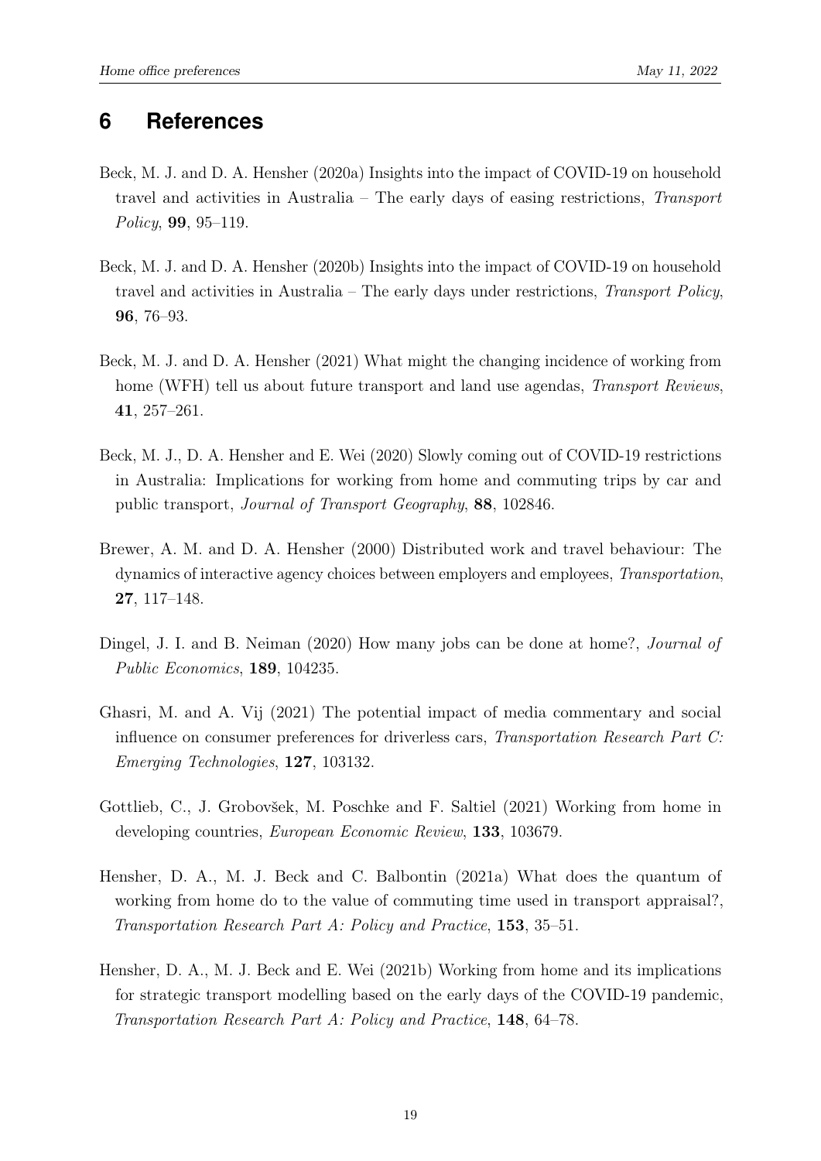### <span id="page-20-0"></span>**6 References**

- <span id="page-20-7"></span>Beck, M. J. and D. A. Hensher (2020a) Insights into the impact of COVID-19 on household travel and activities in Australia – The early days of easing restrictions, Transport Policy, 99, 95–119.
- <span id="page-20-8"></span>Beck, M. J. and D. A. Hensher (2020b) Insights into the impact of COVID-19 on household travel and activities in Australia – The early days under restrictions, Transport Policy, 96, 76–93.
- <span id="page-20-6"></span>Beck, M. J. and D. A. Hensher (2021) What might the changing incidence of working from home (WFH) tell us about future transport and land use agendas, *Transport Reviews*, 41, 257–261.
- <span id="page-20-1"></span>Beck, M. J., D. A. Hensher and E. Wei (2020) Slowly coming out of COVID-19 restrictions in Australia: Implications for working from home and commuting trips by car and public transport, Journal of Transport Geography, 88, 102846.
- <span id="page-20-2"></span>Brewer, A. M. and D. A. Hensher (2000) Distributed work and travel behaviour: The dynamics of interactive agency choices between employers and employees, Transportation, 27, 117–148.
- <span id="page-20-3"></span>Dingel, J. I. and B. Neiman (2020) How many jobs can be done at home?, *Journal of* Public Economics, 189, 104235.
- <span id="page-20-9"></span>Ghasri, M. and A. Vij (2021) The potential impact of media commentary and social influence on consumer preferences for driverless cars, Transportation Research Part C: Emerging Technologies, 127, 103132.
- <span id="page-20-4"></span>Gottlieb, C., J. Grobovšek, M. Poschke and F. Saltiel (2021) Working from home in developing countries, European Economic Review, 133, 103679.
- <span id="page-20-5"></span>Hensher, D. A., M. J. Beck and C. Balbontin (2021a) What does the quantum of working from home do to the value of commuting time used in transport appraisal?, Transportation Research Part A: Policy and Practice, 153, 35–51.
- <span id="page-20-10"></span>Hensher, D. A., M. J. Beck and E. Wei (2021b) Working from home and its implications for strategic transport modelling based on the early days of the COVID-19 pandemic, Transportation Research Part A: Policy and Practice, 148, 64–78.